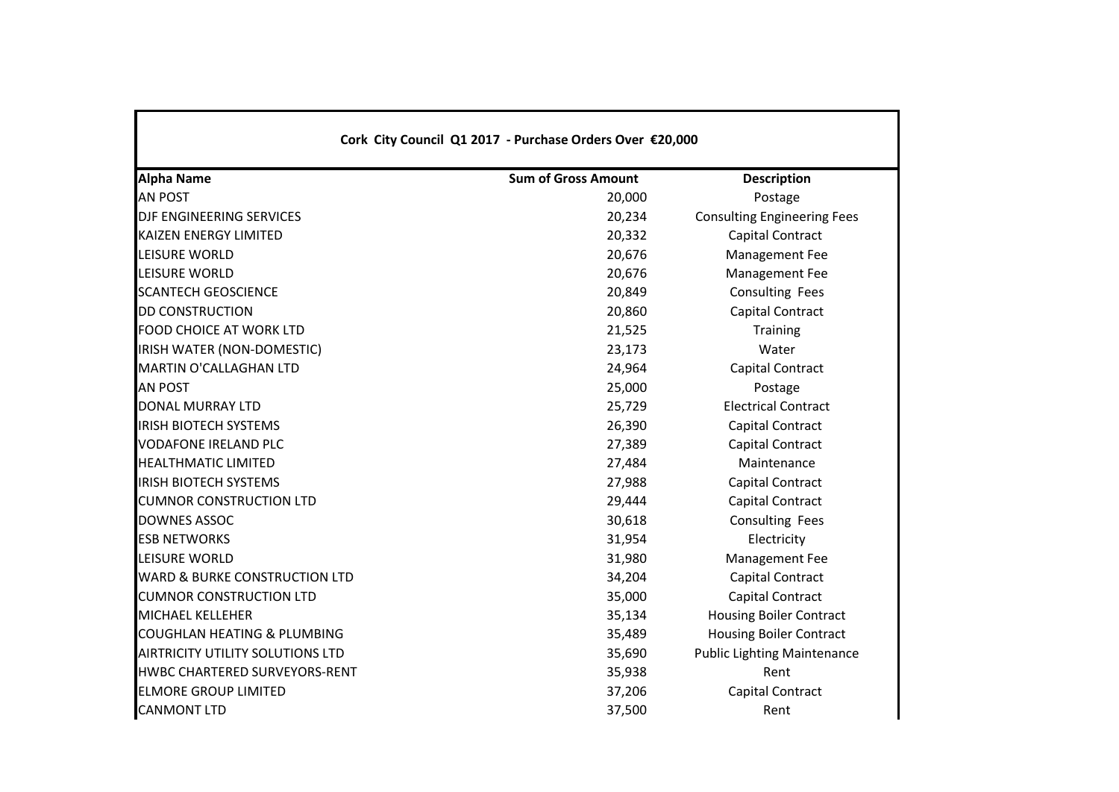| <b>Alpha Name</b>                        | <b>Sum of Gross Amount</b> | <b>Description</b>                 |
|------------------------------------------|----------------------------|------------------------------------|
| <b>AN POST</b>                           | 20,000                     | Postage                            |
| DJF ENGINEERING SERVICES                 | 20,234                     | <b>Consulting Engineering Fees</b> |
| <b>KAIZEN ENERGY LIMITED</b>             | 20,332                     | Capital Contract                   |
| <b>LEISURE WORLD</b>                     | 20,676                     | Management Fee                     |
| LEISURE WORLD                            | 20,676                     | Management Fee                     |
| <b>SCANTECH GEOSCIENCE</b>               | 20,849                     | Consulting Fees                    |
| <b>DD CONSTRUCTION</b>                   | 20,860                     | Capital Contract                   |
| <b>FOOD CHOICE AT WORK LTD</b>           | 21,525                     | <b>Training</b>                    |
| IRISH WATER (NON-DOMESTIC)               | 23,173                     | Water                              |
| <b>MARTIN O'CALLAGHAN LTD</b>            | 24,964                     | Capital Contract                   |
| <b>AN POST</b>                           | 25,000                     | Postage                            |
| <b>DONAL MURRAY LTD</b>                  | 25,729                     | <b>Electrical Contract</b>         |
| <b>IRISH BIOTECH SYSTEMS</b>             | 26,390                     | Capital Contract                   |
| <b>VODAFONE IRELAND PLC</b>              | 27,389                     | Capital Contract                   |
| <b>HEALTHMATIC LIMITED</b>               | 27,484                     | Maintenance                        |
| <b>IRISH BIOTECH SYSTEMS</b>             | 27,988                     | Capital Contract                   |
| <b>CUMNOR CONSTRUCTION LTD</b>           | 29,444                     | Capital Contract                   |
| <b>DOWNES ASSOC</b>                      | 30,618                     | <b>Consulting Fees</b>             |
| <b>ESB NETWORKS</b>                      | 31,954                     | Electricity                        |
| LEISURE WORLD                            | 31,980                     | Management Fee                     |
| <b>WARD &amp; BURKE CONSTRUCTION LTD</b> | 34,204                     | Capital Contract                   |
| <b>CUMNOR CONSTRUCTION LTD</b>           | 35,000                     | Capital Contract                   |
| <b>MICHAEL KELLEHER</b>                  | 35,134                     | <b>Housing Boiler Contract</b>     |
| <b>COUGHLAN HEATING &amp; PLUMBING</b>   | 35,489                     | <b>Housing Boiler Contract</b>     |
| <b>AIRTRICITY UTILITY SOLUTIONS LTD</b>  | 35,690                     | <b>Public Lighting Maintenance</b> |
| <b>HWBC CHARTERED SURVEYORS-RENT</b>     | 35,938                     | Rent                               |
| <b>ELMORE GROUP LIMITED</b>              | 37,206                     | Capital Contract                   |
| <b>CANMONT LTD</b>                       | 37,500                     | Rent                               |

Г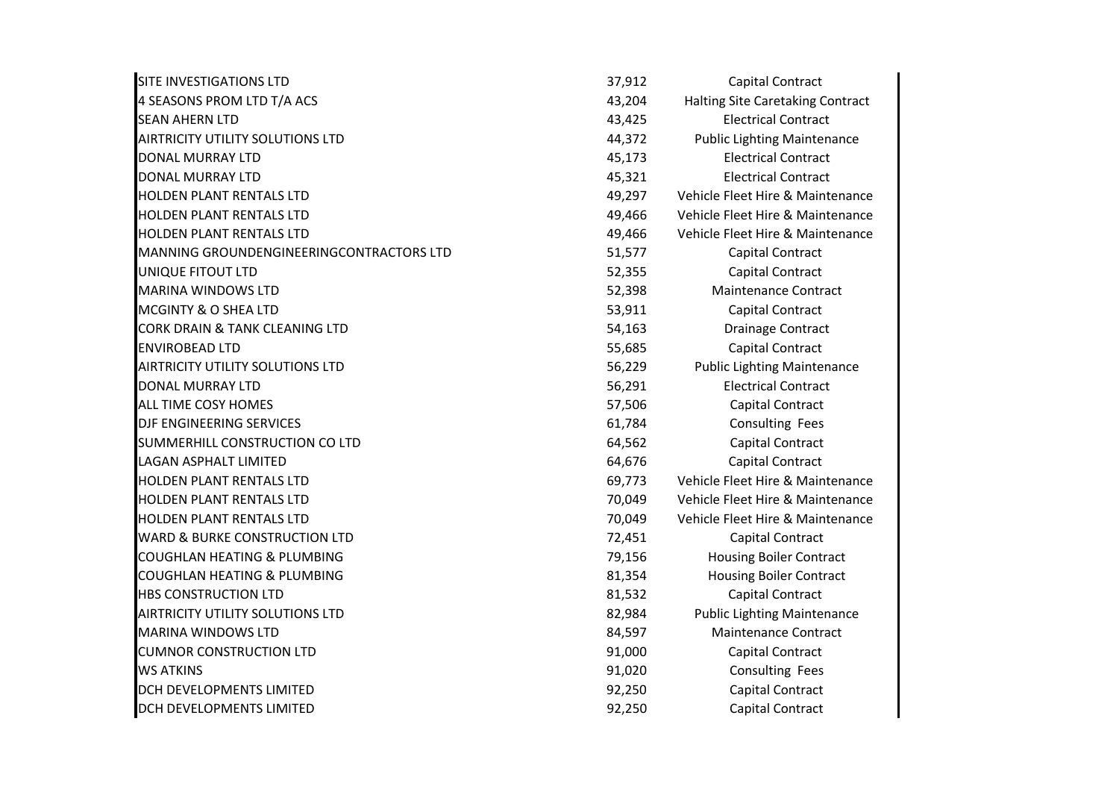| SITE INVESTIGATIONS LTD                  | 37,912 | Capital Contract                   |
|------------------------------------------|--------|------------------------------------|
| 4 SEASONS PROM LTD T/A ACS               | 43,204 | Halting Site Caretaking Contract   |
| <b>SEAN AHERN LTD</b>                    | 43,425 | <b>Electrical Contract</b>         |
| <b>AIRTRICITY UTILITY SOLUTIONS LTD</b>  | 44,372 | <b>Public Lighting Maintenance</b> |
| <b>DONAL MURRAY LTD</b>                  | 45,173 | <b>Electrical Contract</b>         |
| <b>DONAL MURRAY LTD</b>                  | 45,321 | <b>Electrical Contract</b>         |
| <b>HOLDEN PLANT RENTALS LTD</b>          | 49,297 | Vehicle Fleet Hire & Maintenance   |
| <b>HOLDEN PLANT RENTALS LTD</b>          | 49,466 | Vehicle Fleet Hire & Maintenance   |
| <b>HOLDEN PLANT RENTALS LTD</b>          | 49,466 | Vehicle Fleet Hire & Maintenance   |
| MANNING GROUNDENGINEERINGCONTRACTORS LTD | 51,577 | Capital Contract                   |
| UNIQUE FITOUT LTD                        | 52,355 | Capital Contract                   |
| <b>MARINA WINDOWS LTD</b>                | 52,398 | <b>Maintenance Contract</b>        |
| MCGINTY & O SHEA LTD                     | 53,911 | Capital Contract                   |
| CORK DRAIN & TANK CLEANING LTD           | 54,163 | Drainage Contract                  |
| <b>ENVIROBEAD LTD</b>                    | 55,685 | Capital Contract                   |
| <b>AIRTRICITY UTILITY SOLUTIONS LTD</b>  | 56,229 | <b>Public Lighting Maintenance</b> |
| <b>DONAL MURRAY LTD</b>                  | 56,291 | <b>Electrical Contract</b>         |
| <b>ALL TIME COSY HOMES</b>               | 57,506 | Capital Contract                   |
| DJF ENGINEERING SERVICES                 | 61,784 | Consulting Fees                    |
| SUMMERHILL CONSTRUCTION CO LTD           | 64,562 | Capital Contract                   |
| <b>LAGAN ASPHALT LIMITED</b>             | 64,676 | Capital Contract                   |
| <b>HOLDEN PLANT RENTALS LTD</b>          | 69,773 | Vehicle Fleet Hire & Maintenance   |
| HOLDEN PLANT RENTALS LTD                 | 70,049 | Vehicle Fleet Hire & Maintenance   |
| <b>HOLDEN PLANT RENTALS LTD</b>          | 70,049 | Vehicle Fleet Hire & Maintenance   |
| <b>WARD &amp; BURKE CONSTRUCTION LTD</b> | 72,451 | Capital Contract                   |
| <b>COUGHLAN HEATING &amp; PLUMBING</b>   | 79,156 | <b>Housing Boiler Contract</b>     |
| <b>COUGHLAN HEATING &amp; PLUMBING</b>   | 81,354 | <b>Housing Boiler Contract</b>     |
| <b>HBS CONSTRUCTION LTD</b>              | 81,532 | Capital Contract                   |
| <b>AIRTRICITY UTILITY SOLUTIONS LTD</b>  | 82,984 | <b>Public Lighting Maintenance</b> |
| <b>MARINA WINDOWS LTD</b>                | 84,597 | <b>Maintenance Contract</b>        |
| <b>CUMNOR CONSTRUCTION LTD</b>           | 91,000 | Capital Contract                   |
| <b>WS ATKINS</b>                         | 91,020 | <b>Consulting Fees</b>             |
| DCH DEVELOPMENTS LIMITED                 | 92,250 | Capital Contract                   |
| DCH DEVELOPMENTS LIMITED                 | 92,250 | Capital Contract                   |